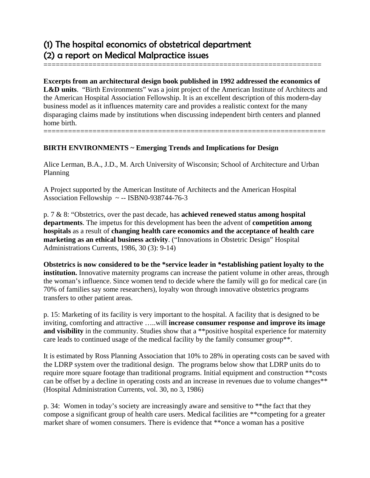## (1) The hospital economics of obstetrical department (2) a report on Medical Malpractice issues

**Excerpts from an architectural design book published in 1992 addressed the economics of**  L&D units. "Birth Environments" was a joint project of the American Institute of Architects and the American Hospital Association Fellowship. It is an excellent description of this modern-day business model as it influences maternity care and provides a realistic context for the many disparaging claims made by institutions when discussing independent birth centers and planned home birth. =====================================================================

====================================================================

## **BIRTH ENVIRONMENTS ~ Emerging Trends and Implications for Design**

Alice Lerman, B.A., J.D., M. Arch University of Wisconsin; School of Architecture and Urban Planning

A Project supported by the American Institute of Architects and the American Hospital Association Fellowship  $\sim$  -- ISBN0-938744-76-3

p. 7 & 8: "Obstetrics, over the past decade, has **achieved renewed status among hospital departments**. The impetus for this development has been the advent of **competition among hospitals** as a result of **changing health care economics and the acceptance of health care marketing as an ethical business activity**. ("Innovations in Obstetric Design" Hospital Administrations Currents, 1986, 30 (3): 9-14)

**Obstetrics is now considered to be the \*service leader in \*establishing patient loyalty to the institution.** Innovative maternity programs can increase the patient volume in other areas, through the woman's influence. Since women tend to decide where the family will go for medical care (in 70% of families say some researchers), loyalty won through innovative obstetrics programs transfers to other patient areas.

p. 15: Marketing of its facility is very important to the hospital. A facility that is designed to be inviting, comforting and attractive …..will **increase consumer response and improve its image**  and visibility in the community. Studies show that a \*\*positive hospital experience for maternity care leads to continued usage of the medical facility by the family consumer group\*\*.

It is estimated by Ross Planning Association that 10% to 28% in operating costs can be saved with the LDRP system over the traditional design. The programs below show that LDRP units do to require more square footage than traditional programs. Initial equipment and construction \*\*costs can be offset by a decline in operating costs and an increase in revenues due to volume changes\*\* (Hospital Administration Currents, vol. 30, no 3, 1986)

p. 34: Women in today's society are increasingly aware and sensitive to \*\*the fact that they compose a significant group of health care users. Medical facilities are \*\*competing for a greater market share of women consumers. There is evidence that \*\*once a woman has a positive